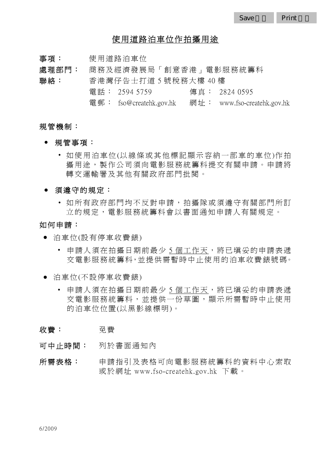## 使用道路泊車位作拍攝用途

- 事項: 使用道路泊車位
- 處理部門: 商務及經濟發展局「創意香港」電影服務統籌科 聯絡: 香港灣仔告士打道 5 號稅務大樓 40 樓
	- 電話: 2594 5759 傳真: 2824 0595
		- 電郵: fso@createhk.gov.hk 網 址 : www.fso-createhk.gov.hk

## 規管機制:

- 規管事項:
	- 如使用泊車位(以線條或其他標記顯示容納一部車的車位)作拍 攝用途,製作公司須向電影服務統籌科提交有關申請。申請將 轉交運輸署及其他有關政府部門批閱。
- 須遵守的規定:
	- 如所有政府部門均不反對申請,拍攝隊或須遵守有關部門所訂 立的規定,電影服務統籌科會以書面通知申請人有關規定。

## 如何申請:

- 泊車位(設有停車收費錶)
	- 申請人須在拍攝日期前最少 5 個工作天,將已填妥的申請表遞 交 雷影 服 務 統 籌 科, 並 提 供 需 暫 時 中 止 使 用 的 泊 車 收 費 錶 號 碼。
- 泊車位(不設停車收費錶)
	- 申請人須在拍攝日期前最少 5 個工作天,將已填妥的申請表遞 交電影服務統籌科,並提供一份草圖,顯示所需暫時中止使用 的泊車位位置(以黑影線標明)。
- 收費: 子学
- 可中止時間: 列於書面通知內
- 所需表格: 申請指引及表格可向電影服務統籌科的資料中心索取 或於網址 www.fso-createhk.gov.hk 下載。